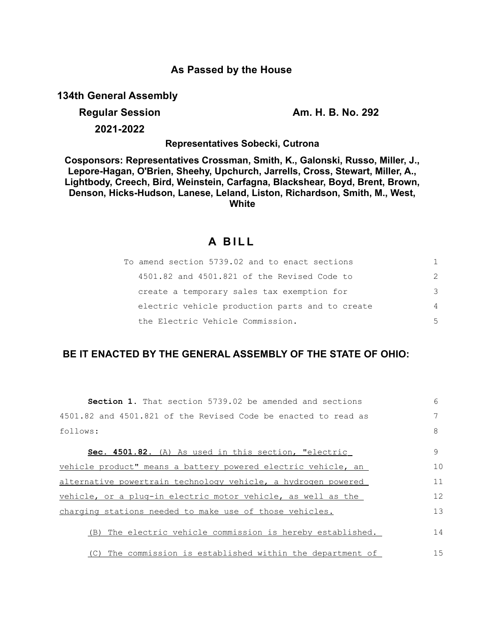# **As Passed by the House**

**134th General Assembly**

**Regular Session Am. H. B. No. 292** 

**2021-2022**

**Representatives Sobecki, Cutrona**

**Cosponsors: Representatives Crossman, Smith, K., Galonski, Russo, Miller, J., Lepore-Hagan, O'Brien, Sheehy, Upchurch, Jarrells, Cross, Stewart, Miller, A., Lightbody, Creech, Bird, Weinstein, Carfagna, Blackshear, Boyd, Brent, Brown, Denson, Hicks-Hudson, Lanese, Leland, Liston, Richardson, Smith, M., West, White**

# **A BILL**

| To amend section 5739.02 and to enact sections  | 1.            |
|-------------------------------------------------|---------------|
| 4501.82 and 4501.821 of the Revised Code to     | $\mathcal{P}$ |
| create a temporary sales tax exemption for      | 3             |
| electric vehicle production parts and to create | 4             |
| the Electric Vehicle Commission.                | .5            |

# **BE IT ENACTED BY THE GENERAL ASSEMBLY OF THE STATE OF OHIO:**

| <b>Section 1.</b> That section 5739.02 be amended and sections | 6  |
|----------------------------------------------------------------|----|
| 4501.82 and 4501.821 of the Revised Code be enacted to read as |    |
| follows:                                                       | 8  |
| Sec. 4501.82. (A) As used in this section, "electric           | 9  |
| vehicle product" means a battery powered electric vehicle, an  | 10 |
| alternative powertrain technology vehicle, a hydrogen powered  | 11 |
| vehicle, or a plug-in electric motor vehicle, as well as the   | 12 |
| charging stations needed to make use of those vehicles.        | 13 |
| (B) The electric vehicle commission is hereby established.     | 14 |
| (C) The commission is established within the department of     | 15 |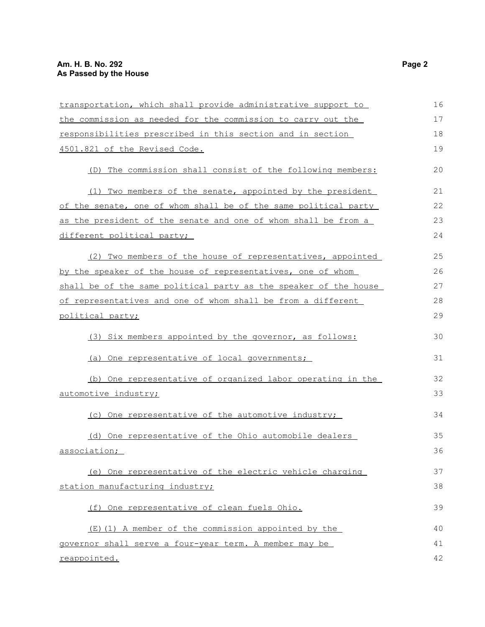| transportation, which shall provide administrative support to    | 16 |
|------------------------------------------------------------------|----|
| the commission as needed for the commission to carry out the     | 17 |
| responsibilities prescribed in this section and in section       | 18 |
| 4501.821 of the Revised Code.                                    | 19 |
| (D) The commission shall consist of the following members:       | 20 |
| (1) Two members of the senate, appointed by the president        | 21 |
| of the senate, one of whom shall be of the same political party  | 22 |
| as the president of the senate and one of whom shall be from a   | 23 |
| different political party;                                       | 24 |
| (2) Two members of the house of representatives, appointed       | 25 |
| by the speaker of the house of representatives, one of whom      | 26 |
| shall be of the same political party as the speaker of the house | 27 |
| of representatives and one of whom shall be from a different     | 28 |
| political party;                                                 | 29 |
| (3) Six members appointed by the governor, as follows:           | 30 |
| (a) One representative of local governments;                     | 31 |
| (b) One representative of organized labor operating in the       | 32 |
| automotive industry;                                             | 33 |
| (c) One representative of the automotive industry;               | 34 |
| (d) One representative of the Ohio automobile dealers            | 35 |
| association;                                                     | 36 |
| (e) One representative of the electric vehicle charging          | 37 |
| station manufacturing industry;                                  | 38 |
|                                                                  | 39 |
| (f) One representative of clean fuels Ohio.                      |    |
| (E)(1) A member of the commission appointed by the               | 40 |
| governor shall serve a four-year term. A member may be           | 41 |
| reappointed.                                                     | 42 |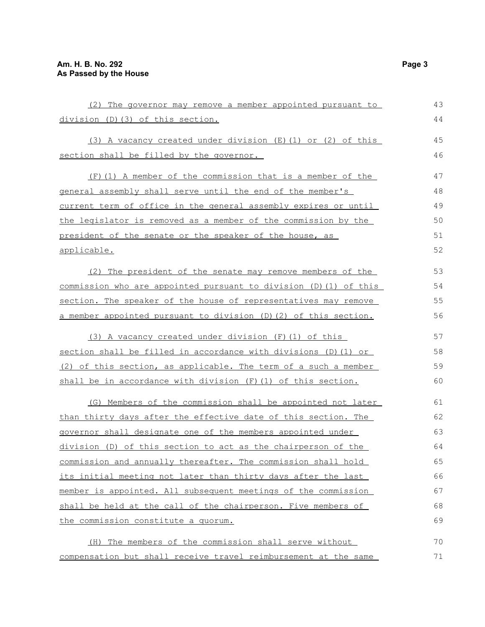| (2) The governor may remove a member appointed pursuant to        | 43 |
|-------------------------------------------------------------------|----|
| division (D) (3) of this section.                                 | 44 |
| (3) A vacancy created under division (E) (1) or (2) of this       | 45 |
| section shall be filled by the governor.                          | 46 |
| (F) (1) A member of the commission that is a member of the        | 47 |
| general assembly shall serve until the end of the member's        | 48 |
| current term of office in the general assembly expires or until   | 49 |
| the legislator is removed as a member of the commission by the    | 50 |
| president of the senate or the speaker of the house, as           | 51 |
| <u>applicable.</u>                                                | 52 |
| (2) The president of the senate may remove members of the         | 53 |
| commission who are appointed pursuant to division (D) (1) of this | 54 |
| section. The speaker of the house of representatives may remove   | 55 |
| a member appointed pursuant to division (D) (2) of this section.  | 56 |
| (3) A vacancy created under division (F) (1) of this              | 57 |
| section shall be filled in accordance with divisions (D) (1) or   | 58 |
| (2) of this section, as applicable. The term of a such a member   | 59 |
| shall be in accordance with division (F) (1) of this section.     | 60 |
| (G) Members of the commission shall be appointed not later        | 61 |
| than thirty days after the effective date of this section. The    | 62 |
| governor shall designate one of the members appointed under       | 63 |
| division (D) of this section to act as the chairperson of the     | 64 |
| commission and annually thereafter. The commission shall hold     | 65 |
| its initial meeting not later than thirty days after the last     | 66 |
| member is appointed. All subsequent meetings of the commission    | 67 |
| shall be held at the call of the chairperson. Five members of     | 68 |
| the commission constitute a quorum.                               | 69 |
| (H) The members of the commission shall serve without             | 70 |
| compensation but shall receive travel reimbursement at the same   | 71 |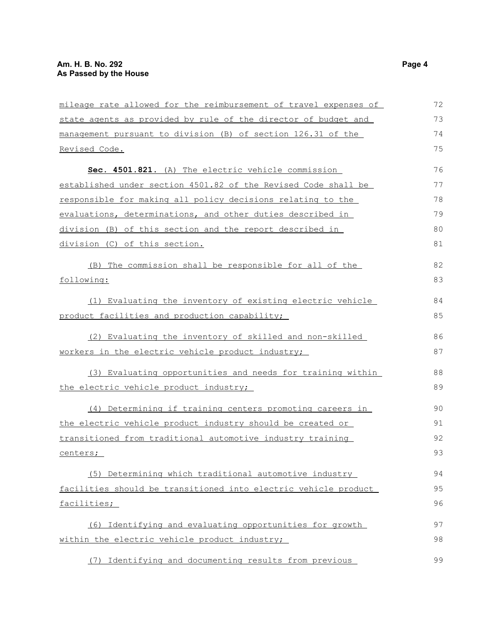| mileage rate allowed for the reimbursement of travel expenses of | 72 |
|------------------------------------------------------------------|----|
| state agents as provided by rule of the director of budget and   | 73 |
| management pursuant to division (B) of section 126.31 of the     | 74 |
| Revised Code.                                                    | 75 |
| Sec. 4501.821. (A) The electric vehicle commission               | 76 |
| established under section 4501.82 of the Revised Code shall be   | 77 |
| responsible for making all policy decisions relating to the      | 78 |
| evaluations, determinations, and other duties described in       | 79 |
| division (B) of this section and the report described in         | 80 |
| division (C) of this section.                                    | 81 |
| (B) The commission shall be responsible for all of the           | 82 |
| following:                                                       | 83 |
| (1) Evaluating the inventory of existing electric vehicle        | 84 |
| product facilities and production capability;                    | 85 |
| (2) Evaluating the inventory of skilled and non-skilled          | 86 |
| workers in the electric vehicle product industry;                | 87 |
| (3) Evaluating opportunities and needs for training within       | 88 |
| the electric vehicle product industry;                           | 89 |
| (4) Determining if training centers promoting careers in         | 90 |
| the electric vehicle product industry should be created or       | 91 |
| transitioned from traditional automotive industry training       | 92 |
| centers;                                                         | 93 |
| (5) Determining which traditional automotive industry            | 94 |
| facilities should be transitioned into electric vehicle product  | 95 |
| facilities;                                                      | 96 |
| (6) Identifying and evaluating opportunities for growth          | 97 |
| within the electric vehicle product industry;                    | 98 |
| (7) Identifying and documenting results from previous            | 99 |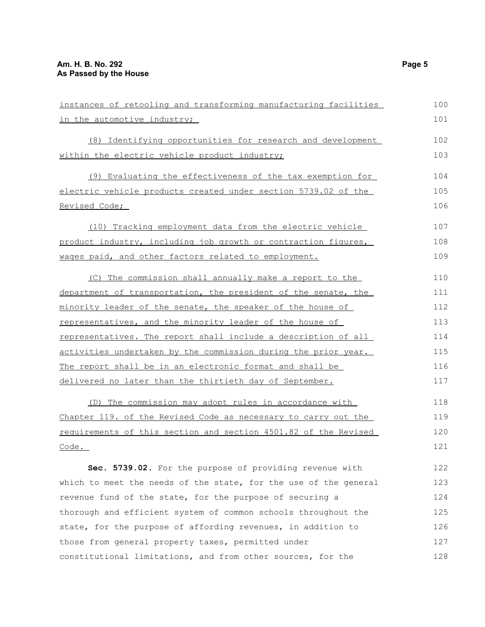| instances of retooling and transforming manufacturing facilities | 100 |
|------------------------------------------------------------------|-----|
| in the automotive industry;                                      | 101 |
| (8) Identifying opportunities for research and development       | 102 |
| within the electric vehicle product industry;                    | 103 |
| (9) Evaluating the effectiveness of the tax exemption for        | 104 |
| electric vehicle products created under section 5739.02 of the   | 105 |
| Revised Code;                                                    | 106 |
| (10) Tracking employment data from the electric vehicle          | 107 |
| product industry, including job growth or contraction figures,   | 108 |
| wages paid, and other factors related to employment.             | 109 |
| (C) The commission shall annually make a report to the           | 110 |
| department of transportation, the president of the senate, the   | 111 |
| minority leader of the senate, the speaker of the house of       | 112 |
| representatives, and the minority leader of the house of         | 113 |
| representatives. The report shall include a description of all   | 114 |
| activities undertaken by the commission during the prior year.   | 115 |
| The report shall be in an electronic format and shall be         | 116 |
| delivered no later than the thirtieth day of September.          | 117 |
| (D) The commission may adopt rules in accordance with            | 118 |
| Chapter 119. of the Revised Code as necessary to carry out the   | 119 |
| requirements of this section and section 4501.82 of the Revised  | 120 |
| Code.                                                            | 121 |
| Sec. 5739.02. For the purpose of providing revenue with          | 122 |
| which to meet the needs of the state, for the use of the general | 123 |
| revenue fund of the state for the nurnose of securing a          | 124 |

revenue fund of the state, for the purpose of securing a thorough and efficient system of common schools throughout the state, for the purpose of affording revenues, in addition to those from general property taxes, permitted under constitutional limitations, and from other sources, for the 124 125 126 127 128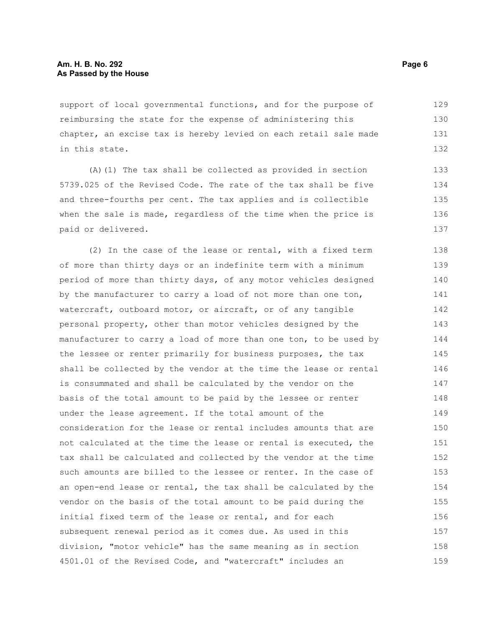support of local governmental functions, and for the purpose of reimbursing the state for the expense of administering this chapter, an excise tax is hereby levied on each retail sale made in this state. 129 130 131 132

(A)(1) The tax shall be collected as provided in section 5739.025 of the Revised Code. The rate of the tax shall be five and three-fourths per cent. The tax applies and is collectible when the sale is made, regardless of the time when the price is paid or delivered.

(2) In the case of the lease or rental, with a fixed term of more than thirty days or an indefinite term with a minimum period of more than thirty days, of any motor vehicles designed by the manufacturer to carry a load of not more than one ton, watercraft, outboard motor, or aircraft, or of any tangible personal property, other than motor vehicles designed by the manufacturer to carry a load of more than one ton, to be used by the lessee or renter primarily for business purposes, the tax shall be collected by the vendor at the time the lease or rental is consummated and shall be calculated by the vendor on the basis of the total amount to be paid by the lessee or renter under the lease agreement. If the total amount of the consideration for the lease or rental includes amounts that are not calculated at the time the lease or rental is executed, the tax shall be calculated and collected by the vendor at the time such amounts are billed to the lessee or renter. In the case of an open-end lease or rental, the tax shall be calculated by the vendor on the basis of the total amount to be paid during the initial fixed term of the lease or rental, and for each subsequent renewal period as it comes due. As used in this division, "motor vehicle" has the same meaning as in section 4501.01 of the Revised Code, and "watercraft" includes an 138 139 140 141 142 143 144 145 146 147 148 149 150 151 152 153 154 155 156 157 158 159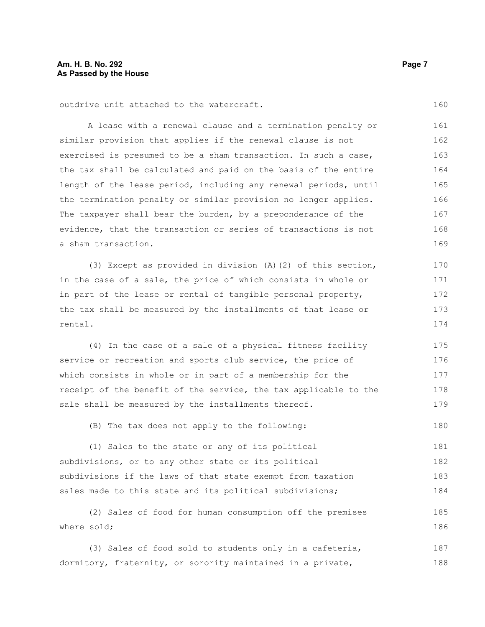outdrive unit attached to the watercraft.

A lease with a renewal clause and a termination penalty or similar provision that applies if the renewal clause is not exercised is presumed to be a sham transaction. In such a case, the tax shall be calculated and paid on the basis of the entire length of the lease period, including any renewal periods, until the termination penalty or similar provision no longer applies. The taxpayer shall bear the burden, by a preponderance of the evidence, that the transaction or series of transactions is not a sham transaction. 161 162 163 164 165 166 167 168 169

(3) Except as provided in division (A)(2) of this section, in the case of a sale, the price of which consists in whole or in part of the lease or rental of tangible personal property, the tax shall be measured by the installments of that lease or rental. 170 171 172 173 174

(4) In the case of a sale of a physical fitness facility service or recreation and sports club service, the price of which consists in whole or in part of a membership for the receipt of the benefit of the service, the tax applicable to the sale shall be measured by the installments thereof. 175 176 177 178 179

(B) The tax does not apply to the following: 180

(1) Sales to the state or any of its political subdivisions, or to any other state or its political subdivisions if the laws of that state exempt from taxation sales made to this state and its political subdivisions; 181 182 183 184

(2) Sales of food for human consumption off the premises where sold; 185 186

(3) Sales of food sold to students only in a cafeteria, dormitory, fraternity, or sorority maintained in a private, 187 188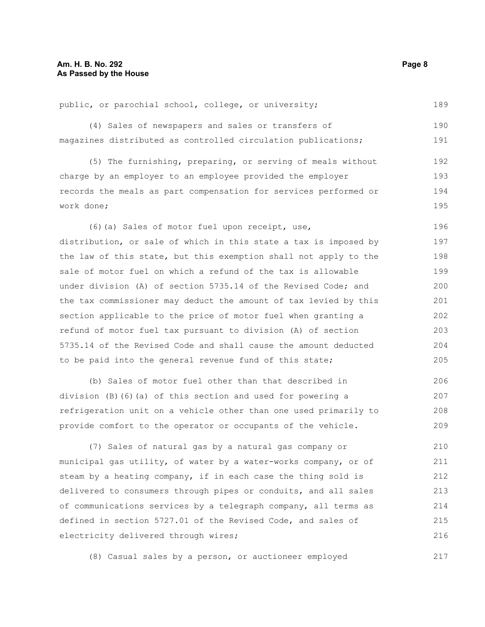public, or parochial school, college, or university; (4) Sales of newspapers and sales or transfers of magazines distributed as controlled circulation publications; (5) The furnishing, preparing, or serving of meals without charge by an employer to an employee provided the employer records the meals as part compensation for services performed or work done; (6)(a) Sales of motor fuel upon receipt, use, distribution, or sale of which in this state a tax is imposed by the law of this state, but this exemption shall not apply to the sale of motor fuel on which a refund of the tax is allowable under division (A) of section 5735.14 of the Revised Code; and the tax commissioner may deduct the amount of tax levied by this section applicable to the price of motor fuel when granting a refund of motor fuel tax pursuant to division (A) of section 5735.14 of the Revised Code and shall cause the amount deducted to be paid into the general revenue fund of this state; (b) Sales of motor fuel other than that described in 189 190 191 192 193 194 195 196 197 198 199 200 201 202 203 204 205 206

division (B)(6)(a) of this section and used for powering a refrigeration unit on a vehicle other than one used primarily to provide comfort to the operator or occupants of the vehicle. 207 208 209

(7) Sales of natural gas by a natural gas company or municipal gas utility, of water by a water-works company, or of steam by a heating company, if in each case the thing sold is delivered to consumers through pipes or conduits, and all sales of communications services by a telegraph company, all terms as defined in section 5727.01 of the Revised Code, and sales of electricity delivered through wires; 210 211 212 213 214 215 216

(8) Casual sales by a person, or auctioneer employed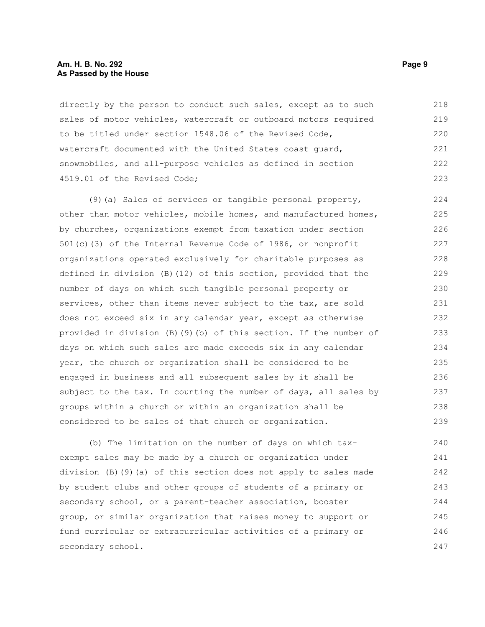#### **Am. H. B. No. 292 Page 9 As Passed by the House**

directly by the person to conduct such sales, except as to such sales of motor vehicles, watercraft or outboard motors required to be titled under section 1548.06 of the Revised Code, watercraft documented with the United States coast guard, snowmobiles, and all-purpose vehicles as defined in section 4519.01 of the Revised Code; 218 219 220 221 222 223

(9)(a) Sales of services or tangible personal property, other than motor vehicles, mobile homes, and manufactured homes, by churches, organizations exempt from taxation under section 501(c)(3) of the Internal Revenue Code of 1986, or nonprofit organizations operated exclusively for charitable purposes as defined in division (B)(12) of this section, provided that the number of days on which such tangible personal property or services, other than items never subject to the tax, are sold does not exceed six in any calendar year, except as otherwise provided in division (B)(9)(b) of this section. If the number of days on which such sales are made exceeds six in any calendar year, the church or organization shall be considered to be engaged in business and all subsequent sales by it shall be subject to the tax. In counting the number of days, all sales by groups within a church or within an organization shall be considered to be sales of that church or organization. 224 225 226 227 228 229 230 231 232 233 234 235 236 237 238 239

(b) The limitation on the number of days on which taxexempt sales may be made by a church or organization under division (B)(9)(a) of this section does not apply to sales made by student clubs and other groups of students of a primary or secondary school, or a parent-teacher association, booster group, or similar organization that raises money to support or fund curricular or extracurricular activities of a primary or secondary school. 240 241 242 243 244 245 246 247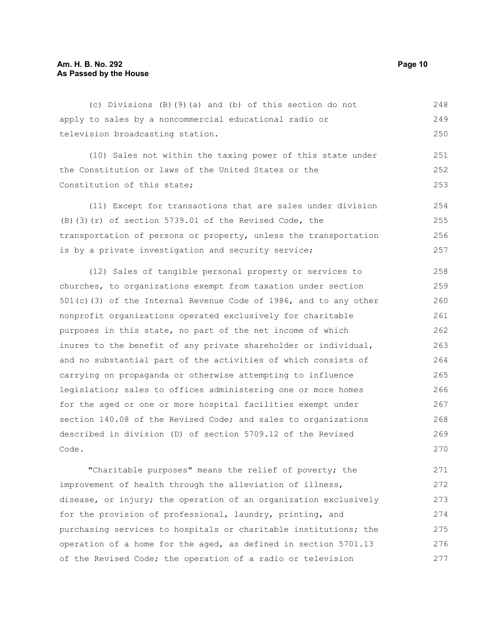### **Am. H. B. No. 292 Page 10 As Passed by the House**

(c) Divisions (B)(9)(a) and (b) of this section do not apply to sales by a noncommercial educational radio or television broadcasting station. 248 249 250

(10) Sales not within the taxing power of this state under the Constitution or laws of the United States or the Constitution of this state; 251 252 253

(11) Except for transactions that are sales under division (B)(3)(r) of section 5739.01 of the Revised Code, the transportation of persons or property, unless the transportation is by a private investigation and security service; 254 255 256 257

(12) Sales of tangible personal property or services to churches, to organizations exempt from taxation under section 501(c)(3) of the Internal Revenue Code of 1986, and to any other nonprofit organizations operated exclusively for charitable purposes in this state, no part of the net income of which inures to the benefit of any private shareholder or individual, and no substantial part of the activities of which consists of carrying on propaganda or otherwise attempting to influence legislation; sales to offices administering one or more homes for the aged or one or more hospital facilities exempt under section 140.08 of the Revised Code; and sales to organizations described in division (D) of section 5709.12 of the Revised Code. 258 259 260 261 262 263 264 265 266 267 268 269 270

"Charitable purposes" means the relief of poverty; the improvement of health through the alleviation of illness, disease, or injury; the operation of an organization exclusively for the provision of professional, laundry, printing, and purchasing services to hospitals or charitable institutions; the operation of a home for the aged, as defined in section 5701.13 of the Revised Code; the operation of a radio or television 271 272 273 274 275 276 277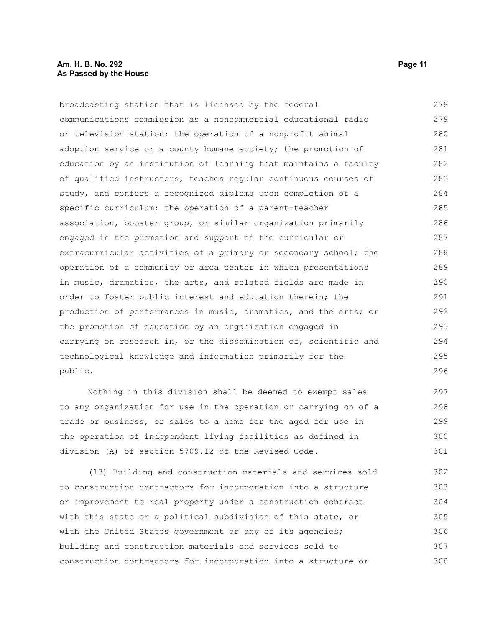broadcasting station that is licensed by the federal communications commission as a noncommercial educational radio or television station; the operation of a nonprofit animal adoption service or a county humane society; the promotion of education by an institution of learning that maintains a faculty of qualified instructors, teaches regular continuous courses of study, and confers a recognized diploma upon completion of a specific curriculum; the operation of a parent-teacher association, booster group, or similar organization primarily engaged in the promotion and support of the curricular or extracurricular activities of a primary or secondary school; the operation of a community or area center in which presentations in music, dramatics, the arts, and related fields are made in order to foster public interest and education therein; the production of performances in music, dramatics, and the arts; or the promotion of education by an organization engaged in carrying on research in, or the dissemination of, scientific and technological knowledge and information primarily for the public. 278 279 280 281 282 283 284 285 286 287 288 289 290 291 292 293 294 295 296

Nothing in this division shall be deemed to exempt sales to any organization for use in the operation or carrying on of a trade or business, or sales to a home for the aged for use in the operation of independent living facilities as defined in division (A) of section 5709.12 of the Revised Code. 297 298 299 300 301

(13) Building and construction materials and services sold to construction contractors for incorporation into a structure or improvement to real property under a construction contract with this state or a political subdivision of this state, or with the United States government or any of its agencies; building and construction materials and services sold to construction contractors for incorporation into a structure or 302 303 304 305 306 307 308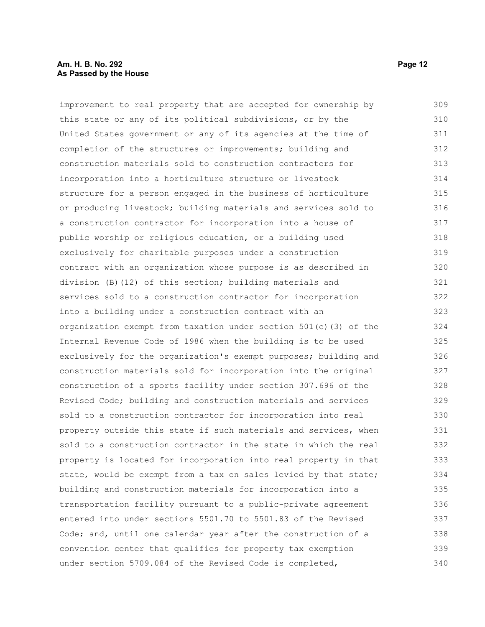### **Am. H. B. No. 292 Page 12 As Passed by the House**

improvement to real property that are accepted for ownership by this state or any of its political subdivisions, or by the United States government or any of its agencies at the time of completion of the structures or improvements; building and construction materials sold to construction contractors for incorporation into a horticulture structure or livestock structure for a person engaged in the business of horticulture or producing livestock; building materials and services sold to a construction contractor for incorporation into a house of public worship or religious education, or a building used exclusively for charitable purposes under a construction contract with an organization whose purpose is as described in division (B)(12) of this section; building materials and services sold to a construction contractor for incorporation into a building under a construction contract with an organization exempt from taxation under section 501(c)(3) of the Internal Revenue Code of 1986 when the building is to be used exclusively for the organization's exempt purposes; building and construction materials sold for incorporation into the original construction of a sports facility under section 307.696 of the Revised Code; building and construction materials and services sold to a construction contractor for incorporation into real property outside this state if such materials and services, when sold to a construction contractor in the state in which the real property is located for incorporation into real property in that state, would be exempt from a tax on sales levied by that state; building and construction materials for incorporation into a transportation facility pursuant to a public-private agreement entered into under sections 5501.70 to 5501.83 of the Revised Code; and, until one calendar year after the construction of a convention center that qualifies for property tax exemption under section 5709.084 of the Revised Code is completed, 309 310 311 312 313 314 315 316 317 318 319 320 321 322 323 324 325 326 327 328 329 330 331 332 333 334 335 336 337 338 339 340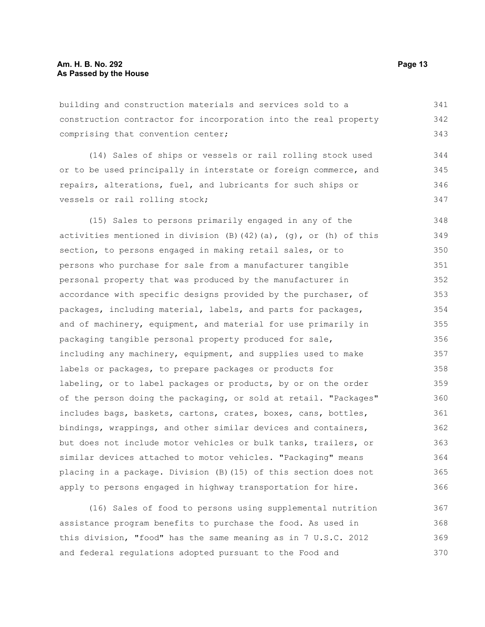building and construction materials and services sold to a construction contractor for incorporation into the real property comprising that convention center; 341 342 343

(14) Sales of ships or vessels or rail rolling stock used or to be used principally in interstate or foreign commerce, and repairs, alterations, fuel, and lubricants for such ships or vessels or rail rolling stock; 344 345 346 347

(15) Sales to persons primarily engaged in any of the activities mentioned in division  $(B)$  (42)(a), (g), or (h) of this section, to persons engaged in making retail sales, or to persons who purchase for sale from a manufacturer tangible personal property that was produced by the manufacturer in accordance with specific designs provided by the purchaser, of packages, including material, labels, and parts for packages, and of machinery, equipment, and material for use primarily in packaging tangible personal property produced for sale, including any machinery, equipment, and supplies used to make labels or packages, to prepare packages or products for labeling, or to label packages or products, by or on the order of the person doing the packaging, or sold at retail. "Packages" includes bags, baskets, cartons, crates, boxes, cans, bottles, bindings, wrappings, and other similar devices and containers, but does not include motor vehicles or bulk tanks, trailers, or similar devices attached to motor vehicles. "Packaging" means placing in a package. Division (B)(15) of this section does not apply to persons engaged in highway transportation for hire. 348 349 350 351 352 353 354 355 356 357 358 359 360 361 362 363 364 365 366

(16) Sales of food to persons using supplemental nutrition assistance program benefits to purchase the food. As used in this division, "food" has the same meaning as in 7 U.S.C. 2012 and federal regulations adopted pursuant to the Food and 367 368 369 370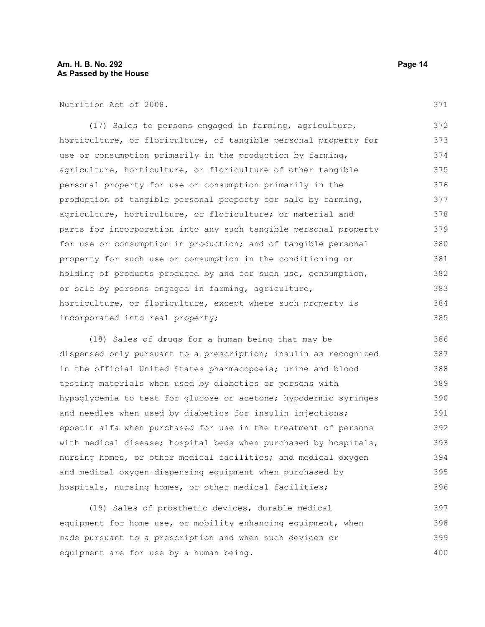Nutrition Act of 2008.

(17) Sales to persons engaged in farming, agriculture, horticulture, or floriculture, of tangible personal property for use or consumption primarily in the production by farming, agriculture, horticulture, or floriculture of other tangible personal property for use or consumption primarily in the production of tangible personal property for sale by farming, agriculture, horticulture, or floriculture; or material and parts for incorporation into any such tangible personal property for use or consumption in production; and of tangible personal property for such use or consumption in the conditioning or holding of products produced by and for such use, consumption, or sale by persons engaged in farming, agriculture, horticulture, or floriculture, except where such property is incorporated into real property; 372 373 374 375 376 377 378 379 380 381 382 383 384 385

(18) Sales of drugs for a human being that may be dispensed only pursuant to a prescription; insulin as recognized in the official United States pharmacopoeia; urine and blood testing materials when used by diabetics or persons with hypoglycemia to test for glucose or acetone; hypodermic syringes and needles when used by diabetics for insulin injections; epoetin alfa when purchased for use in the treatment of persons with medical disease; hospital beds when purchased by hospitals, nursing homes, or other medical facilities; and medical oxygen and medical oxygen-dispensing equipment when purchased by hospitals, nursing homes, or other medical facilities; 386 387 388 389 390 391 392 393 394 395 396

(19) Sales of prosthetic devices, durable medical equipment for home use, or mobility enhancing equipment, when made pursuant to a prescription and when such devices or equipment are for use by a human being. 397 398 399 400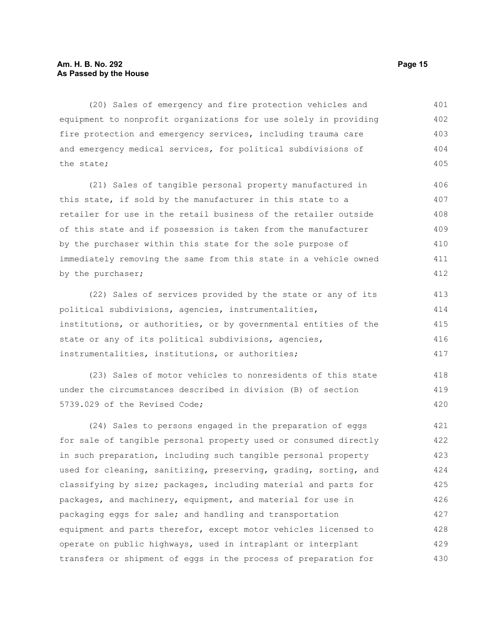### **Am. H. B. No. 292 Page 15 As Passed by the House**

(20) Sales of emergency and fire protection vehicles and equipment to nonprofit organizations for use solely in providing fire protection and emergency services, including trauma care and emergency medical services, for political subdivisions of the state; 401 402 403 404 405

(21) Sales of tangible personal property manufactured in this state, if sold by the manufacturer in this state to a retailer for use in the retail business of the retailer outside of this state and if possession is taken from the manufacturer by the purchaser within this state for the sole purpose of immediately removing the same from this state in a vehicle owned by the purchaser; 406 407 408 409 410 411 412

(22) Sales of services provided by the state or any of its political subdivisions, agencies, instrumentalities, institutions, or authorities, or by governmental entities of the state or any of its political subdivisions, agencies, instrumentalities, institutions, or authorities; 413 414 415 416 417

(23) Sales of motor vehicles to nonresidents of this state under the circumstances described in division (B) of section 5739.029 of the Revised Code; 418 419 420

(24) Sales to persons engaged in the preparation of eggs for sale of tangible personal property used or consumed directly in such preparation, including such tangible personal property used for cleaning, sanitizing, preserving, grading, sorting, and classifying by size; packages, including material and parts for packages, and machinery, equipment, and material for use in packaging eggs for sale; and handling and transportation equipment and parts therefor, except motor vehicles licensed to operate on public highways, used in intraplant or interplant transfers or shipment of eggs in the process of preparation for 421 422 423 424 425 426 427 428 429 430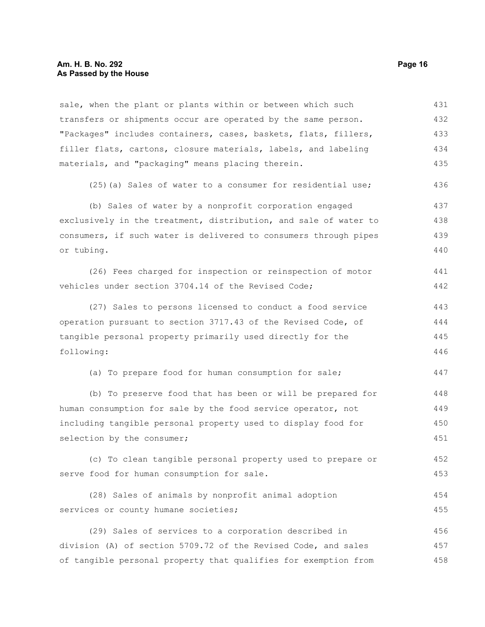sale, when the plant or plants within or between which such transfers or shipments occur are operated by the same person. "Packages" includes containers, cases, baskets, flats, fillers, filler flats, cartons, closure materials, labels, and labeling materials, and "packaging" means placing therein. (25)(a) Sales of water to a consumer for residential use; 431 432 433 434 435 436

(b) Sales of water by a nonprofit corporation engaged exclusively in the treatment, distribution, and sale of water to consumers, if such water is delivered to consumers through pipes or tubing. 437 438 439 440

(26) Fees charged for inspection or reinspection of motor vehicles under section 3704.14 of the Revised Code; 441 442

(27) Sales to persons licensed to conduct a food service operation pursuant to section 3717.43 of the Revised Code, of tangible personal property primarily used directly for the following: 443 444 445 446

(a) To prepare food for human consumption for sale; 447

(b) To preserve food that has been or will be prepared for human consumption for sale by the food service operator, not including tangible personal property used to display food for selection by the consumer; 448 449 450 451

(c) To clean tangible personal property used to prepare or serve food for human consumption for sale. 452 453

(28) Sales of animals by nonprofit animal adoption services or county humane societies; 454 455

(29) Sales of services to a corporation described in division (A) of section 5709.72 of the Revised Code, and sales of tangible personal property that qualifies for exemption from 456 457 458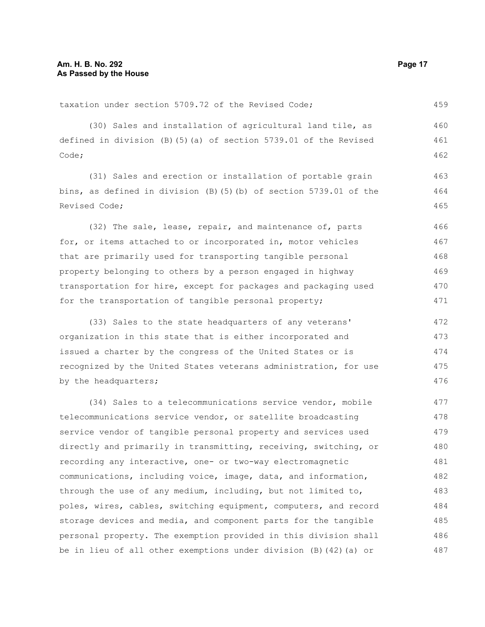taxation under section 5709.72 of the Revised Code;

(30) Sales and installation of agricultural land tile, as defined in division (B)(5)(a) of section 5739.01 of the Revised Code; 460 461 462

(31) Sales and erection or installation of portable grain bins, as defined in division (B)(5)(b) of section 5739.01 of the Revised Code;

(32) The sale, lease, repair, and maintenance of, parts for, or items attached to or incorporated in, motor vehicles that are primarily used for transporting tangible personal property belonging to others by a person engaged in highway transportation for hire, except for packages and packaging used for the transportation of tangible personal property; 466 467 468 469 470 471

(33) Sales to the state headquarters of any veterans' organization in this state that is either incorporated and issued a charter by the congress of the United States or is recognized by the United States veterans administration, for use by the headquarters; 472 473 474 475 476

(34) Sales to a telecommunications service vendor, mobile telecommunications service vendor, or satellite broadcasting service vendor of tangible personal property and services used directly and primarily in transmitting, receiving, switching, or recording any interactive, one- or two-way electromagnetic communications, including voice, image, data, and information, through the use of any medium, including, but not limited to, poles, wires, cables, switching equipment, computers, and record storage devices and media, and component parts for the tangible personal property. The exemption provided in this division shall be in lieu of all other exemptions under division (B)(42)(a) or 477 478 479 480 481 482 483 484 485 486 487

459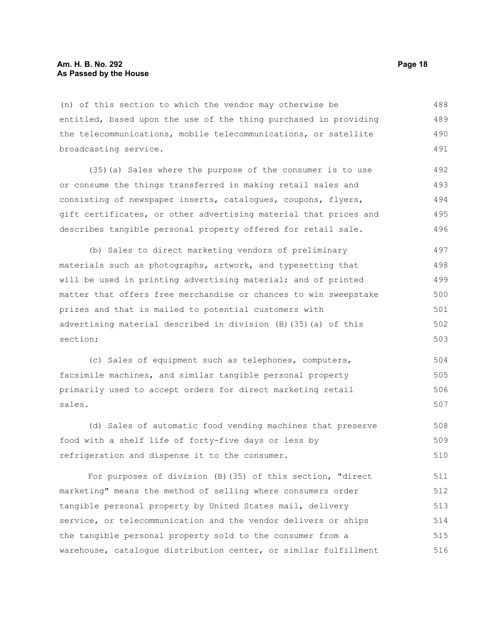(n) of this section to which the vendor may otherwise be entitled, based upon the use of the thing purchased in providing the telecommunications, mobile telecommunications, or satellite broadcasting service. 488 489 490 491

(35)(a) Sales where the purpose of the consumer is to use or consume the things transferred in making retail sales and consisting of newspaper inserts, catalogues, coupons, flyers, gift certificates, or other advertising material that prices and describes tangible personal property offered for retail sale. 492 493 494 495 496

(b) Sales to direct marketing vendors of preliminary materials such as photographs, artwork, and typesetting that will be used in printing advertising material; and of printed matter that offers free merchandise or chances to win sweepstake prizes and that is mailed to potential customers with advertising material described in division (B)(35)(a) of this section; 497 498 499 500 501 502 503

(c) Sales of equipment such as telephones, computers, facsimile machines, and similar tangible personal property primarily used to accept orders for direct marketing retail sales. 504 505 506 507

(d) Sales of automatic food vending machines that preserve food with a shelf life of forty-five days or less by refrigeration and dispense it to the consumer. 508 509 510

For purposes of division (B)(35) of this section, "direct marketing" means the method of selling where consumers order tangible personal property by United States mail, delivery service, or telecommunication and the vendor delivers or ships the tangible personal property sold to the consumer from a warehouse, catalogue distribution center, or similar fulfillment 511 512 513 514 515 516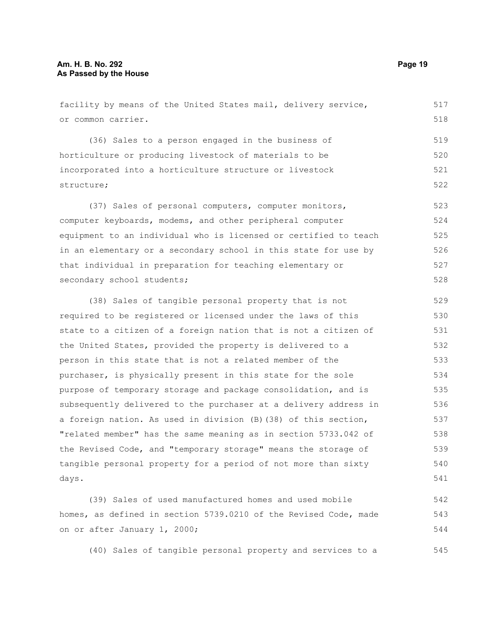days.

facility by means of the United States mail, delivery service, or common carrier. (36) Sales to a person engaged in the business of horticulture or producing livestock of materials to be incorporated into a horticulture structure or livestock structure; (37) Sales of personal computers, computer monitors, computer keyboards, modems, and other peripheral computer equipment to an individual who is licensed or certified to teach in an elementary or a secondary school in this state for use by that individual in preparation for teaching elementary or secondary school students; (38) Sales of tangible personal property that is not required to be registered or licensed under the laws of this state to a citizen of a foreign nation that is not a citizen of the United States, provided the property is delivered to a person in this state that is not a related member of the purchaser, is physically present in this state for the sole purpose of temporary storage and package consolidation, and is subsequently delivered to the purchaser at a delivery address in a foreign nation. As used in division (B)(38) of this section, "related member" has the same meaning as in section 5733.042 of the Revised Code, and "temporary storage" means the storage of tangible personal property for a period of not more than sixty 517 518 519 520 521 522 523 524 525 526 527 528 529 530 531 532 533 534 535 536 537 538 539 540

(39) Sales of used manufactured homes and used mobile homes, as defined in section 5739.0210 of the Revised Code, made on or after January 1, 2000; 542 543 544

(40) Sales of tangible personal property and services to a

541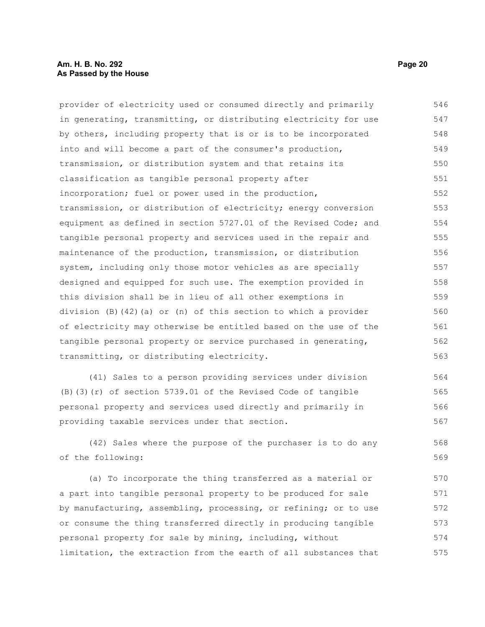### **Am. H. B. No. 292 Page 20 As Passed by the House**

provider of electricity used or consumed directly and primarily in generating, transmitting, or distributing electricity for use by others, including property that is or is to be incorporated into and will become a part of the consumer's production, transmission, or distribution system and that retains its classification as tangible personal property after incorporation; fuel or power used in the production, transmission, or distribution of electricity; energy conversion equipment as defined in section 5727.01 of the Revised Code; and tangible personal property and services used in the repair and maintenance of the production, transmission, or distribution system, including only those motor vehicles as are specially designed and equipped for such use. The exemption provided in this division shall be in lieu of all other exemptions in division (B)(42)(a) or (n) of this section to which a provider of electricity may otherwise be entitled based on the use of the tangible personal property or service purchased in generating, transmitting, or distributing electricity. 546 547 548 549 550 551 552 553 554 555 556 557 558 559 560 561 562 563

(41) Sales to a person providing services under division (B)(3)(r) of section 5739.01 of the Revised Code of tangible personal property and services used directly and primarily in providing taxable services under that section. 564 565 566 567

(42) Sales where the purpose of the purchaser is to do any of the following: 568 569

(a) To incorporate the thing transferred as a material or a part into tangible personal property to be produced for sale by manufacturing, assembling, processing, or refining; or to use or consume the thing transferred directly in producing tangible personal property for sale by mining, including, without limitation, the extraction from the earth of all substances that 570 571 572 573 574 575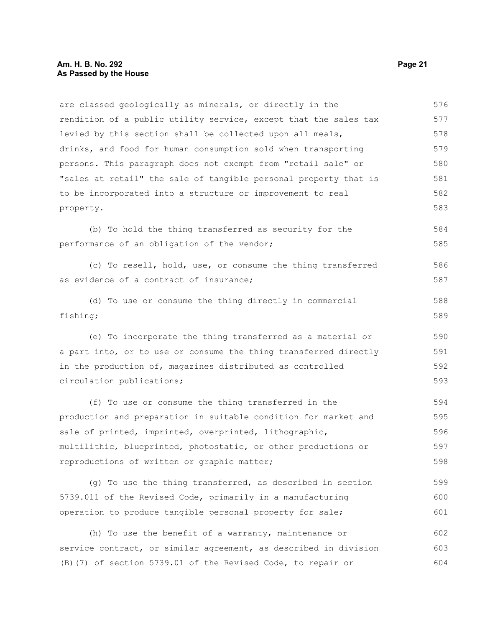are classed geologically as minerals, or directly in the rendition of a public utility service, except that the sales tax levied by this section shall be collected upon all meals, drinks, and food for human consumption sold when transporting persons. This paragraph does not exempt from "retail sale" or "sales at retail" the sale of tangible personal property that is to be incorporated into a structure or improvement to real property. 576 577 578 579 580 581 582 583

(b) To hold the thing transferred as security for the performance of an obligation of the vendor; 584 585

(c) To resell, hold, use, or consume the thing transferred as evidence of a contract of insurance; 586 587

(d) To use or consume the thing directly in commercial fishing; 588 589

(e) To incorporate the thing transferred as a material or a part into, or to use or consume the thing transferred directly in the production of, magazines distributed as controlled circulation publications; 590 591

(f) To use or consume the thing transferred in the production and preparation in suitable condition for market and sale of printed, imprinted, overprinted, lithographic, multilithic, blueprinted, photostatic, or other productions or reproductions of written or graphic matter; 594 595 596 597 598

(g) To use the thing transferred, as described in section 5739.011 of the Revised Code, primarily in a manufacturing operation to produce tangible personal property for sale; 599 600 601

(h) To use the benefit of a warranty, maintenance or service contract, or similar agreement, as described in division (B)(7) of section 5739.01 of the Revised Code, to repair or 602 603 604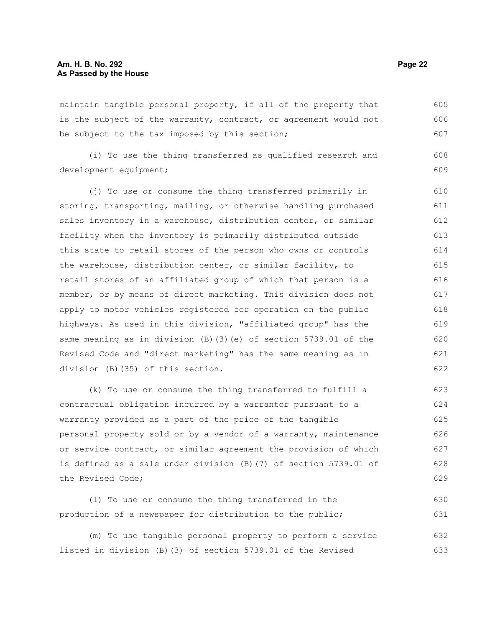maintain tangible personal property, if all of the property that is the subject of the warranty, contract, or agreement would not be subject to the tax imposed by this section; 605 606 607

(i) To use the thing transferred as qualified research and development equipment; 608 609

(j) To use or consume the thing transferred primarily in storing, transporting, mailing, or otherwise handling purchased sales inventory in a warehouse, distribution center, or similar facility when the inventory is primarily distributed outside this state to retail stores of the person who owns or controls the warehouse, distribution center, or similar facility, to retail stores of an affiliated group of which that person is a member, or by means of direct marketing. This division does not apply to motor vehicles registered for operation on the public highways. As used in this division, "affiliated group" has the same meaning as in division (B)(3)(e) of section 5739.01 of the Revised Code and "direct marketing" has the same meaning as in division (B)(35) of this section. 610 611 612 613 614 615 616 617 618 619 620 621 622

(k) To use or consume the thing transferred to fulfill a contractual obligation incurred by a warrantor pursuant to a warranty provided as a part of the price of the tangible personal property sold or by a vendor of a warranty, maintenance or service contract, or similar agreement the provision of which is defined as a sale under division (B)(7) of section 5739.01 of the Revised Code;

(l) To use or consume the thing transferred in the production of a newspaper for distribution to the public; 630 631

(m) To use tangible personal property to perform a service listed in division (B)(3) of section 5739.01 of the Revised 632 633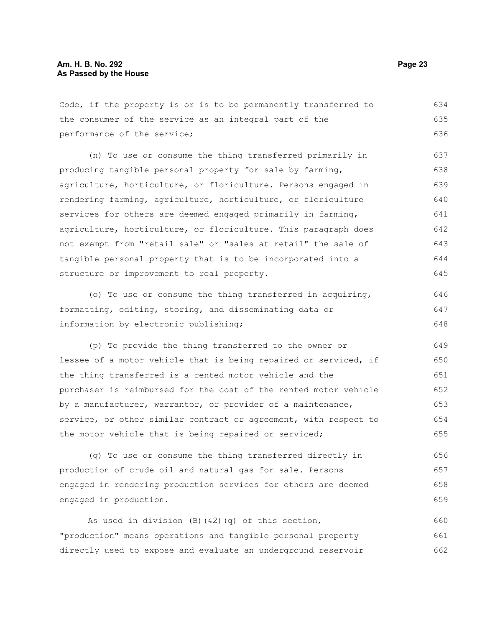Code, if the property is or is to be permanently transferred to the consumer of the service as an integral part of the performance of the service; (n) To use or consume the thing transferred primarily in producing tangible personal property for sale by farming, agriculture, horticulture, or floriculture. Persons engaged in rendering farming, agriculture, horticulture, or floriculture services for others are deemed engaged primarily in farming, agriculture, horticulture, or floriculture. This paragraph does not exempt from "retail sale" or "sales at retail" the sale of tangible personal property that is to be incorporated into a structure or improvement to real property. (o) To use or consume the thing transferred in acquiring, formatting, editing, storing, and disseminating data or information by electronic publishing; (p) To provide the thing transferred to the owner or lessee of a motor vehicle that is being repaired or serviced, if the thing transferred is a rented motor vehicle and the purchaser is reimbursed for the cost of the rented motor vehicle 634 635 636 637 638 639 640 641 642 643 644 645 646 647 648 649 650 651 652

by a manufacturer, warrantor, or provider of a maintenance, service, or other similar contract or agreement, with respect to the motor vehicle that is being repaired or serviced; 653 654 655

(q) To use or consume the thing transferred directly in production of crude oil and natural gas for sale. Persons engaged in rendering production services for others are deemed engaged in production. 656 657 658 659

As used in division (B)(42)(q) of this section, "production" means operations and tangible personal property directly used to expose and evaluate an underground reservoir 660 661 662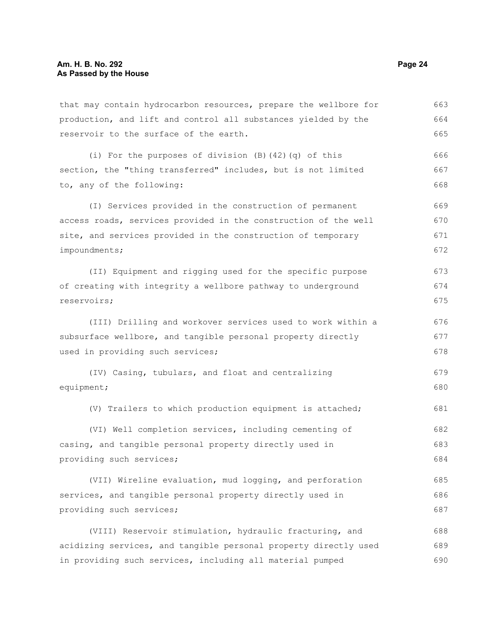that may contain hydrocarbon resources, prepare the wellbore for production, and lift and control all substances yielded by the reservoir to the surface of the earth. (i) For the purposes of division (B)(42)(q) of this section, the "thing transferred" includes, but is not limited to, any of the following: (I) Services provided in the construction of permanent access roads, services provided in the construction of the well site, and services provided in the construction of temporary impoundments; (II) Equipment and rigging used for the specific purpose of creating with integrity a wellbore pathway to underground reservoirs; (III) Drilling and workover services used to work within a subsurface wellbore, and tangible personal property directly used in providing such services; (IV) Casing, tubulars, and float and centralizing equipment; (V) Trailers to which production equipment is attached; (VI) Well completion services, including cementing of casing, and tangible personal property directly used in providing such services; (VII) Wireline evaluation, mud logging, and perforation services, and tangible personal property directly used in providing such services; (VIII) Reservoir stimulation, hydraulic fracturing, and 663 664 665 666 667 668 669 670 671 672 673 674 675 676 677 678 679 680 681 682 683 684 685 686 687 688

acidizing services, and tangible personal property directly used in providing such services, including all material pumped 689 690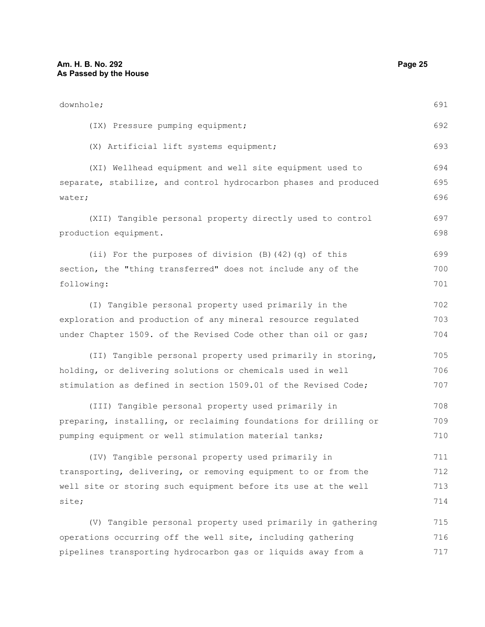| downhole;                                                                          | 691        |
|------------------------------------------------------------------------------------|------------|
| (IX) Pressure pumping equipment;                                                   | 692        |
| (X) Artificial lift systems equipment;                                             | 693        |
| (XI) Wellhead equipment and well site equipment used to                            | 694        |
| separate, stabilize, and control hydrocarbon phases and produced<br>water;         | 695<br>696 |
| (XII) Tangible personal property directly used to control<br>production equipment. | 697<br>698 |
| (ii) For the purposes of division $(B)$ $(42)$ $(q)$ of this                       | 699        |
| section, the "thing transferred" does not include any of the                       | 700        |
| following:                                                                         | 701        |
| (I) Tangible personal property used primarily in the                               | 702        |
| exploration and production of any mineral resource regulated                       | 703        |
| under Chapter 1509. of the Revised Code other than oil or gas;                     | 704        |
| (II) Tangible personal property used primarily in storing,                         | 705        |
| holding, or delivering solutions or chemicals used in well                         | 706        |
| stimulation as defined in section 1509.01 of the Revised Code;                     | 707        |
| (III) Tangible personal property used primarily in                                 | 708        |
| preparing, installing, or reclaiming foundations for drilling or                   | 709        |
| pumping equipment or well stimulation material tanks;                              | 710        |
| (IV) Tangible personal property used primarily in                                  | 711        |
| transporting, delivering, or removing equipment to or from the                     | 712        |
| well site or storing such equipment before its use at the well                     | 713        |
| site;                                                                              | 714        |

(V) Tangible personal property used primarily in gathering operations occurring off the well site, including gathering pipelines transporting hydrocarbon gas or liquids away from a 715 716 717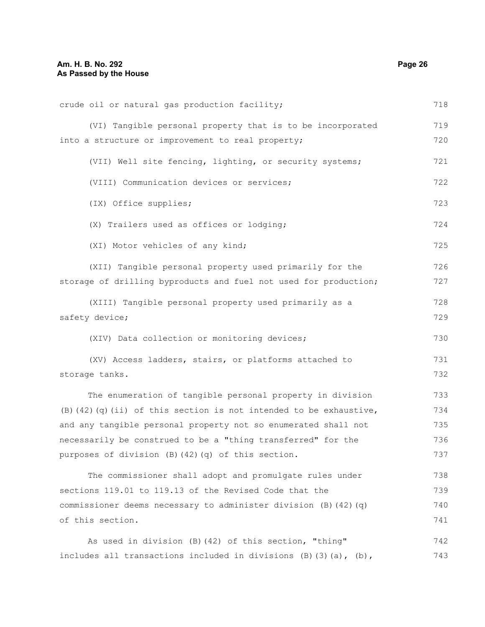| crude oil or natural gas production facility;                               | 718 |
|-----------------------------------------------------------------------------|-----|
| (VI) Tangible personal property that is to be incorporated                  | 719 |
| into a structure or improvement to real property;                           | 720 |
| (VII) Well site fencing, lighting, or security systems;                     | 721 |
| (VIII) Communication devices or services;                                   | 722 |
| (IX) Office supplies;                                                       | 723 |
| (X) Trailers used as offices or lodging;                                    | 724 |
| (XI) Motor vehicles of any kind;                                            | 725 |
| (XII) Tangible personal property used primarily for the                     | 726 |
| storage of drilling byproducts and fuel not used for production;            | 727 |
| (XIII) Tangible personal property used primarily as a                       | 728 |
| safety device;                                                              | 729 |
| (XIV) Data collection or monitoring devices;                                | 730 |
| (XV) Access ladders, stairs, or platforms attached to                       | 731 |
| storage tanks.                                                              | 732 |
| The enumeration of tangible personal property in division                   | 733 |
| $(B)$ (42) (q) (ii) of this section is not intended to be exhaustive,       | 734 |
| and any tangible personal property not so enumerated shall not              | 735 |
| necessarily be construed to be a "thing transferred" for the                | 736 |
| purposes of division (B) (42) (q) of this section.                          | 737 |
| The commissioner shall adopt and promulgate rules under                     | 738 |
| sections 119.01 to 119.13 of the Revised Code that the                      | 739 |
| commissioner deems necessary to administer division (B) (42) (q)            | 740 |
| of this section.                                                            | 741 |
| As used in division (B) (42) of this section, "thing"                       | 742 |
| includes all transactions included in divisions $(B)$ $(3)$ $(a)$ , $(b)$ , | 743 |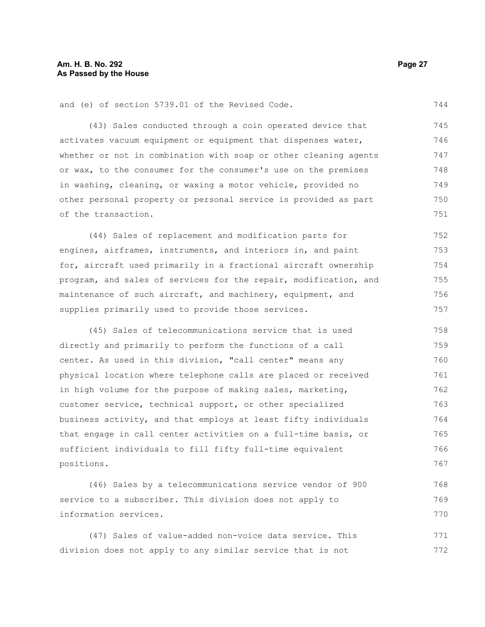and (e) of section 5739.01 of the Revised Code.

(43) Sales conducted through a coin operated device that activates vacuum equipment or equipment that dispenses water, whether or not in combination with soap or other cleaning agents or wax, to the consumer for the consumer's use on the premises in washing, cleaning, or waxing a motor vehicle, provided no other personal property or personal service is provided as part of the transaction. 745 746 747 748 749 750 751

(44) Sales of replacement and modification parts for engines, airframes, instruments, and interiors in, and paint for, aircraft used primarily in a fractional aircraft ownership program, and sales of services for the repair, modification, and maintenance of such aircraft, and machinery, equipment, and supplies primarily used to provide those services. 752 753 754 755 756 757

(45) Sales of telecommunications service that is used directly and primarily to perform the functions of a call center. As used in this division, "call center" means any physical location where telephone calls are placed or received in high volume for the purpose of making sales, marketing, customer service, technical support, or other specialized business activity, and that employs at least fifty individuals that engage in call center activities on a full-time basis, or sufficient individuals to fill fifty full-time equivalent positions. 758 759 760 761 762 763 764 765 766 767

(46) Sales by a telecommunications service vendor of 900 service to a subscriber. This division does not apply to information services. 768 769 770

(47) Sales of value-added non-voice data service. This division does not apply to any similar service that is not 771 772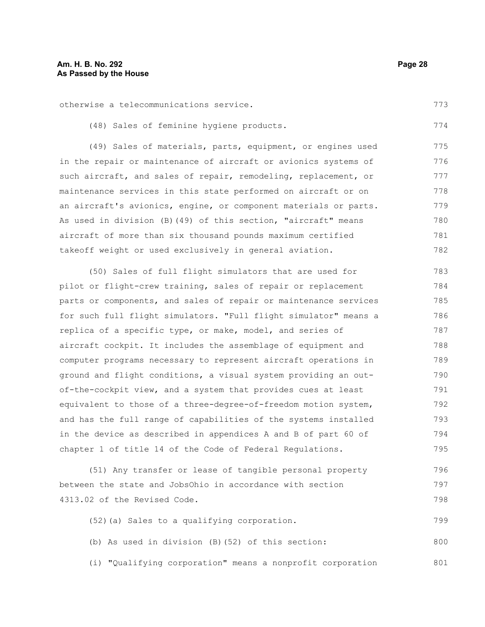otherwise a telecommunications service. 773

(48) Sales of feminine hygiene products.

(49) Sales of materials, parts, equipment, or engines used in the repair or maintenance of aircraft or avionics systems of such aircraft, and sales of repair, remodeling, replacement, or maintenance services in this state performed on aircraft or on an aircraft's avionics, engine, or component materials or parts. As used in division (B)(49) of this section, "aircraft" means aircraft of more than six thousand pounds maximum certified takeoff weight or used exclusively in general aviation. 775 776 777 778 779 780 781 782

(50) Sales of full flight simulators that are used for pilot or flight-crew training, sales of repair or replacement parts or components, and sales of repair or maintenance services for such full flight simulators. "Full flight simulator" means a replica of a specific type, or make, model, and series of aircraft cockpit. It includes the assemblage of equipment and computer programs necessary to represent aircraft operations in ground and flight conditions, a visual system providing an outof-the-cockpit view, and a system that provides cues at least equivalent to those of a three-degree-of-freedom motion system, and has the full range of capabilities of the systems installed in the device as described in appendices A and B of part 60 of chapter 1 of title 14 of the Code of Federal Regulations. 783 784 785 786 787 788 789 790 791 792 793 794 795

(51) Any transfer or lease of tangible personal property between the state and JobsOhio in accordance with section 4313.02 of the Revised Code. 796 797 798

(52)(a) Sales to a qualifying corporation. (b) As used in division (B)(52) of this section: (i) "Qualifying corporation" means a nonprofit corporation 799 800 801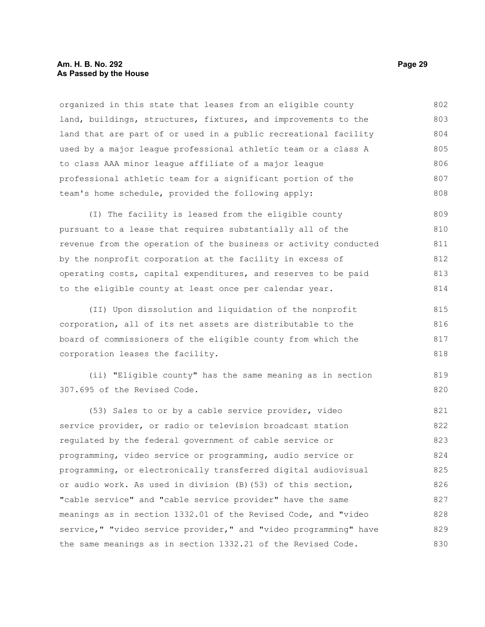### **Am. H. B. No. 292 Page 29 As Passed by the House**

organized in this state that leases from an eligible county land, buildings, structures, fixtures, and improvements to the land that are part of or used in a public recreational facility used by a major league professional athletic team or a class A to class AAA minor league affiliate of a major league professional athletic team for a significant portion of the team's home schedule, provided the following apply: 802 803 804 805 806 807 808

(I) The facility is leased from the eligible county pursuant to a lease that requires substantially all of the revenue from the operation of the business or activity conducted by the nonprofit corporation at the facility in excess of operating costs, capital expenditures, and reserves to be paid to the eligible county at least once per calendar year. 809 810 811 812 813 814

(II) Upon dissolution and liquidation of the nonprofit corporation, all of its net assets are distributable to the board of commissioners of the eligible county from which the corporation leases the facility. 815 816 817 818

(ii) "Eligible county" has the same meaning as in section 307.695 of the Revised Code.

(53) Sales to or by a cable service provider, video service provider, or radio or television broadcast station regulated by the federal government of cable service or programming, video service or programming, audio service or programming, or electronically transferred digital audiovisual or audio work. As used in division (B)(53) of this section, "cable service" and "cable service provider" have the same meanings as in section 1332.01 of the Revised Code, and "video service," "video service provider," and "video programming" have the same meanings as in section 1332.21 of the Revised Code. 821 822 823 824 825 826 827 828 829 830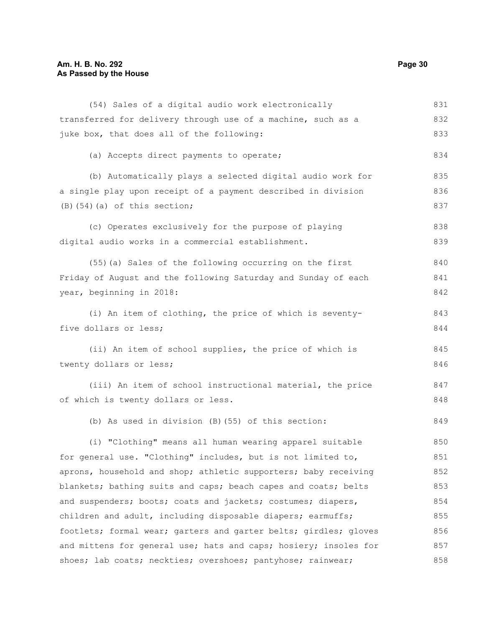## **Am. H. B. No. 292**  Page 30 **As Passed by the House**

| (54) Sales of a digital audio work electronically                | 831 |
|------------------------------------------------------------------|-----|
| transferred for delivery through use of a machine, such as a     | 832 |
| juke box, that does all of the following:                        | 833 |
| (a) Accepts direct payments to operate;                          | 834 |
| (b) Automatically plays a selected digital audio work for        | 835 |
| a single play upon receipt of a payment described in division    | 836 |
| $(B)$ $(54)$ $(a)$ of this section;                              | 837 |
| (c) Operates exclusively for the purpose of playing              | 838 |
| digital audio works in a commercial establishment.               | 839 |
| (55) (a) Sales of the following occurring on the first           | 840 |
| Friday of August and the following Saturday and Sunday of each   | 841 |
| year, beginning in 2018:                                         | 842 |
| (i) An item of clothing, the price of which is seventy-          | 843 |
| five dollars or less;                                            | 844 |
| (ii) An item of school supplies, the price of which is           | 845 |
| twenty dollars or less;                                          | 846 |
| (iii) An item of school instructional material, the price        | 847 |
| of which is twenty dollars or less.                              | 848 |
| (b) As used in division (B) (55) of this section:                | 849 |
| (i) "Clothing" means all human wearing apparel suitable          | 850 |
| for general use. "Clothing" includes, but is not limited to,     | 851 |
| aprons, household and shop; athletic supporters; baby receiving  | 852 |
| blankets; bathing suits and caps; beach capes and coats; belts   | 853 |
| and suspenders; boots; coats and jackets; costumes; diapers,     | 854 |
| children and adult, including disposable diapers; earmuffs;      | 855 |
| footlets; formal wear; garters and garter belts; girdles; gloves | 856 |
| and mittens for general use; hats and caps; hosiery; insoles for | 857 |
| shoes; lab coats; neckties; overshoes; pantyhose; rainwear;      | 858 |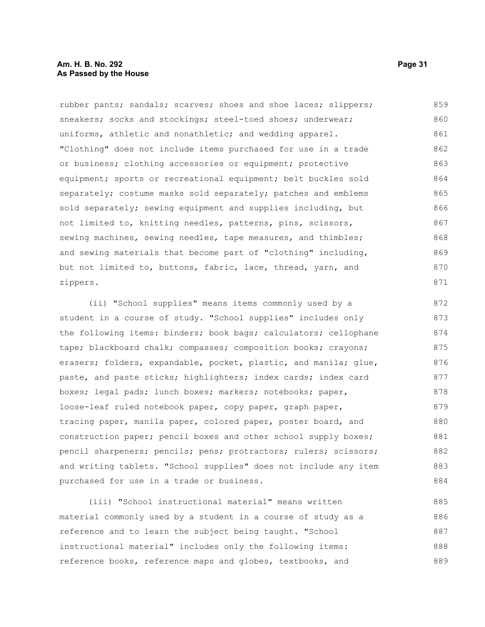rubber pants; sandals; scarves; shoes and shoe laces; slippers; sneakers; socks and stockings; steel-toed shoes; underwear; uniforms, athletic and nonathletic; and wedding apparel. "Clothing" does not include items purchased for use in a trade or business; clothing accessories or equipment; protective equipment; sports or recreational equipment; belt buckles sold separately; costume masks sold separately; patches and emblems sold separately; sewing equipment and supplies including, but not limited to, knitting needles, patterns, pins, scissors, sewing machines, sewing needles, tape measures, and thimbles; and sewing materials that become part of "clothing" including, but not limited to, buttons, fabric, lace, thread, yarn, and zippers. 859 860 861 862 863 864 865 866 867 868 869 870 871

(ii) "School supplies" means items commonly used by a student in a course of study. "School supplies" includes only the following items: binders; book bags; calculators; cellophane tape; blackboard chalk; compasses; composition books; crayons; erasers; folders, expandable, pocket, plastic, and manila; glue, paste, and paste sticks; highlighters; index cards; index card boxes; legal pads; lunch boxes; markers; notebooks; paper, loose-leaf ruled notebook paper, copy paper, graph paper, tracing paper, manila paper, colored paper, poster board, and construction paper; pencil boxes and other school supply boxes; pencil sharpeners; pencils; pens; protractors; rulers; scissors; and writing tablets. "School supplies" does not include any item purchased for use in a trade or business. 872 873 874 875 876 877 878 879 880 881 882 883 884

(iii) "School instructional material" means written material commonly used by a student in a course of study as a reference and to learn the subject being taught. "School instructional material" includes only the following items: reference books, reference maps and globes, textbooks, and 885 886 887 888 889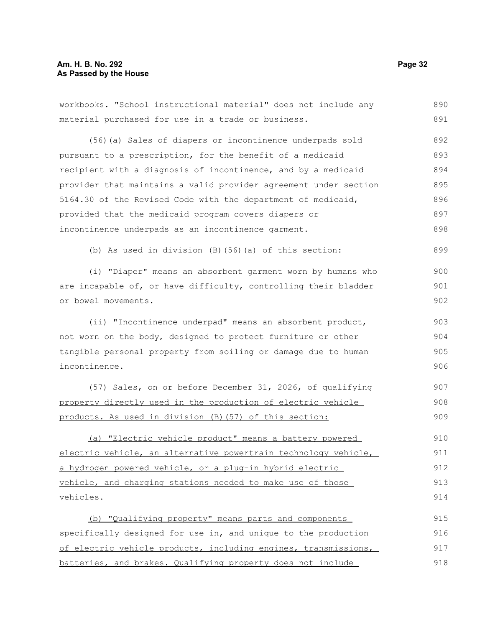### **Am. H. B. No. 292 Page 32 As Passed by the House**

workbooks. "School instructional material" does not include any material purchased for use in a trade or business. (56)(a) Sales of diapers or incontinence underpads sold pursuant to a prescription, for the benefit of a medicaid recipient with a diagnosis of incontinence, and by a medicaid provider that maintains a valid provider agreement under section 5164.30 of the Revised Code with the department of medicaid, provided that the medicaid program covers diapers or incontinence underpads as an incontinence garment. (b) As used in division (B)(56)(a) of this section: (i) "Diaper" means an absorbent garment worn by humans who are incapable of, or have difficulty, controlling their bladder or bowel movements. (ii) "Incontinence underpad" means an absorbent product, not worn on the body, designed to protect furniture or other tangible personal property from soiling or damage due to human incontinence. (57) Sales, on or before December 31, 2026, of qualifying property directly used in the production of electric vehicle products. As used in division (B)(57) of this section: (a) "Electric vehicle product" means a battery powered electric vehicle, an alternative powertrain technology vehicle, a hydrogen powered vehicle, or a plug-in hybrid electric vehicle, and charging stations needed to make use of those vehicles. (b) "Qualifying property" means parts and components specifically designed for use in, and unique to the production of electric vehicle products, including engines, transmissions, batteries, and brakes. Qualifying property does not include 890 891 892 893 894 895 896 897 898 899 900 901 902 903 904 905 906 907 908 909 910 911 912 913 914 915 916 917 918